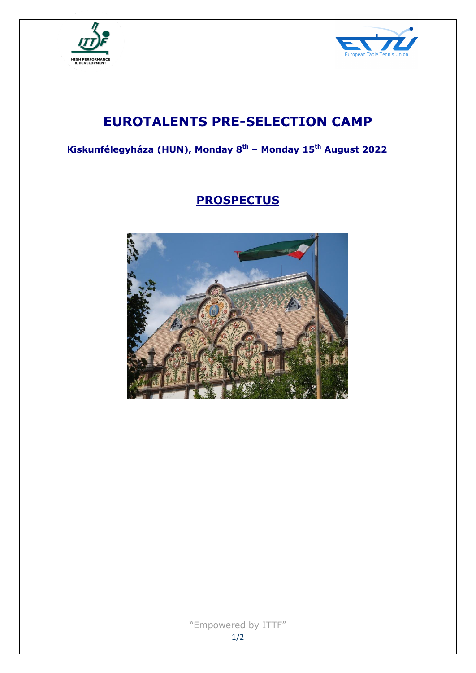



# **EUROTALENTS PRE-SELECTION CAMP**

**Kiskunfélegyháza (HUN), Monday 8 th – Monday 15th August 2022**

# **PROSPECTUS**

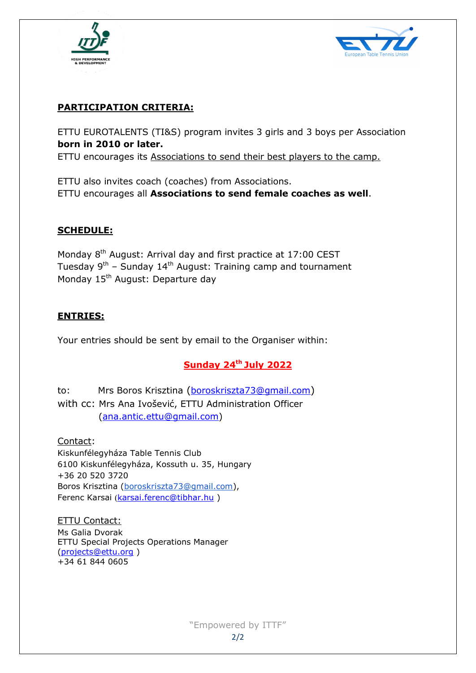



# **PARTICIPATION CRITERIA:**

ETTU EUROTALENTS (TI&S) program invites 3 girls and 3 boys per Association **born in 2010 or later.** 

ETTU encourages its Associations to send their best players to the camp.

ETTU also invites coach (coaches) from Associations. ETTU encourages all **Associations to send female coaches as well**.

#### **SCHEDULE:**

Monday 8<sup>th</sup> August: Arrival day and first practice at 17:00 CEST Tuesday 9<sup>th</sup> – Sunday 14<sup>th</sup> August: Training camp and tournament Monday 15<sup>th</sup> August: Departure day

## **ENTRIES:**

Your entries should be sent by email to the Organiser within:

# **Sunday 24th July 2022**

to: Mrs Boros Krisztina ([boroskriszta73@gmail.com](mailto:boroskriszta73@gmail.com)) with cc: Mrs Ana Ivošević, ETTU Administration Officer [\(ana.antic.ettu@gmail.com\)](mailto:ana.antic.ettu@gmail.com)

Contact: Kiskunfélegyháza Table Tennis Club 6100 Kiskunfélegyháza, Kossuth u. 35, Hungary +36 20 520 3720 Boros Krisztina [\(boroskriszta73@gmail.com\)](mailto:boroskriszta73@gmail.com), Ferenc Karsai ([karsai.ferenc@tibhar.hu](mailto:karsai.ferenc@tibhar.hu) )

ETTU Contact: Ms Galia Dvorak ETTU Special Projects Operations Manager [\(projects@ettu.org](mailto:projects@ettu.org) ) +34 61 844 0605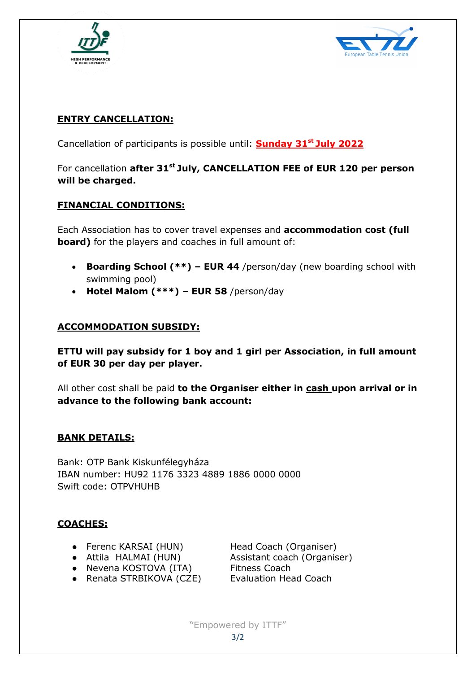



# **ENTRY CANCELLATION:**

Cancellation of participants is possible until: **Sunday 31 st July 2022**

# For cancellation **after 31st July, CANCELLATION FEE of EUR 120 per person will be charged.**

#### **FINANCIAL CONDITIONS:**

Each Association has to cover travel expenses and **accommodation cost (full board)** for the players and coaches in full amount of:

- **Boarding School (\*\*) – EUR 44** /person/day (new boarding school with swimming pool)
- **Hotel Malom (\*\*\*) – EUR 58** /person/day

#### **ACCOMMODATION SUBSIDY:**

**ETTU will pay subsidy for 1 boy and 1 girl per Association, in full amount of EUR 30 per day per player.**

All other cost shall be paid **to the Organiser either in cash upon arrival or in advance to the following bank account:**

#### **BANK DETAILS:**

Bank: OTP Bank Kiskunfélegyháza IBAN number: HU92 1176 3323 4889 1886 0000 0000 Swift code: OTPVHUHB

#### **COACHES:**

- Ferenc KARSAI (HUN) Head Coach (Organiser)
- 
- Nevena KOSTOVA (ITA) Fitness Coach
- Attila HALMAI (HUN) Assistant coach (Organiser)
- Renata STRBIKOVA (CZE) Evaluation Head Coach

"Empowered by ITTF" 3/2